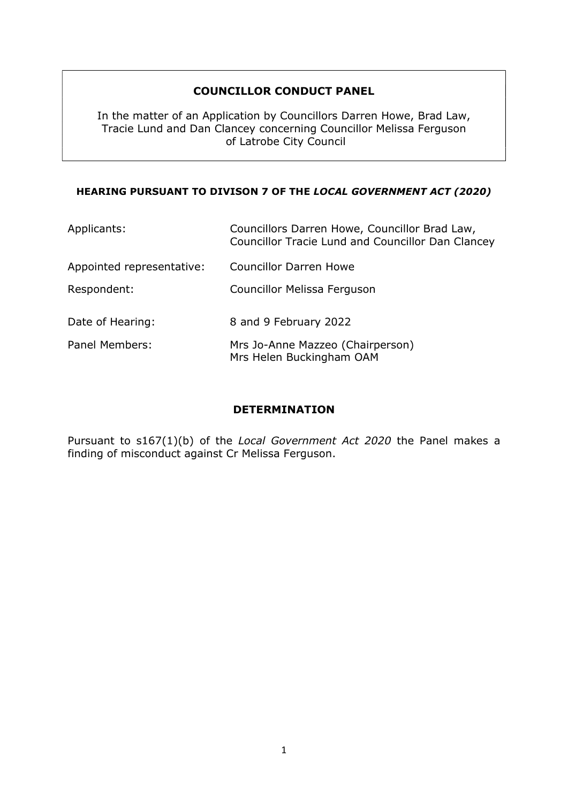### COUNCILLOR CONDUCT PANEL

In the matter of an Application by Councillors Darren Howe, Brad Law, Tracie Lund and Dan Clancey concerning Councillor Melissa Ferguson of Latrobe City Council

#### HEARING PURSUANT TO DIVISON 7 OF THE LOCAL GOVERNMENT ACT (2020)

| Applicants:               | Councillors Darren Howe, Councillor Brad Law,<br>Councillor Tracie Lund and Councillor Dan Clancey |
|---------------------------|----------------------------------------------------------------------------------------------------|
| Appointed representative: | <b>Councillor Darren Howe</b>                                                                      |
| Respondent:               | Councillor Melissa Ferguson                                                                        |
| Date of Hearing:          | 8 and 9 February 2022                                                                              |
| Panel Members:            | Mrs Jo-Anne Mazzeo (Chairperson)<br>Mrs Helen Buckingham OAM                                       |

#### DETERMINATION

Pursuant to s167(1)(b) of the Local Government Act 2020 the Panel makes a finding of misconduct against Cr Melissa Ferguson.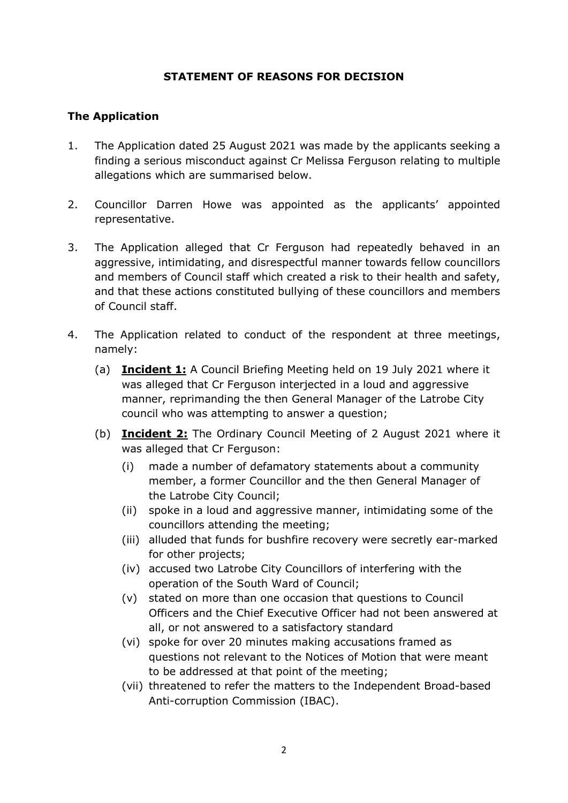#### STATEMENT OF REASONS FOR DECISION

### The Application

- 1. The Application dated 25 August 2021 was made by the applicants seeking a finding a serious misconduct against Cr Melissa Ferguson relating to multiple allegations which are summarised below.
- 2. Councillor Darren Howe was appointed as the applicants' appointed representative.
- 3. The Application alleged that Cr Ferguson had repeatedly behaved in an aggressive, intimidating, and disrespectful manner towards fellow councillors and members of Council staff which created a risk to their health and safety, and that these actions constituted bullying of these councillors and members of Council staff.
- 4. The Application related to conduct of the respondent at three meetings, namely:
	- (a) **Incident 1:** A Council Briefing Meeting held on 19 July 2021 where it was alleged that Cr Ferguson interjected in a loud and aggressive manner, reprimanding the then General Manager of the Latrobe City council who was attempting to answer a question;
	- (b) Incident 2: The Ordinary Council Meeting of 2 August 2021 where it was alleged that Cr Ferguson:
		- (i) made a number of defamatory statements about a community member, a former Councillor and the then General Manager of the Latrobe City Council;
		- (ii) spoke in a loud and aggressive manner, intimidating some of the councillors attending the meeting;
		- (iii) alluded that funds for bushfire recovery were secretly ear-marked for other projects;
		- (iv) accused two Latrobe City Councillors of interfering with the operation of the South Ward of Council;
		- (v) stated on more than one occasion that questions to Council Officers and the Chief Executive Officer had not been answered at all, or not answered to a satisfactory standard
		- (vi) spoke for over 20 minutes making accusations framed as questions not relevant to the Notices of Motion that were meant to be addressed at that point of the meeting;
		- (vii) threatened to refer the matters to the Independent Broad-based Anti-corruption Commission (IBAC).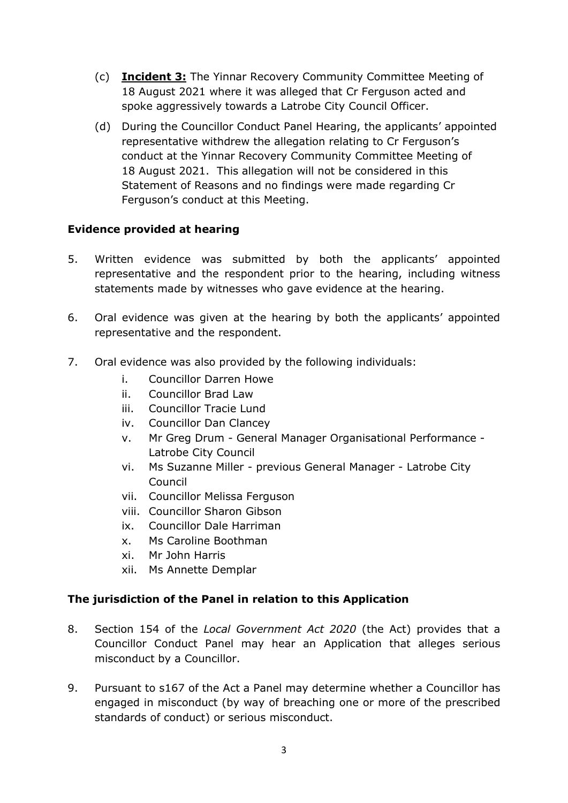- (c) Incident 3: The Yinnar Recovery Community Committee Meeting of 18 August 2021 where it was alleged that Cr Ferguson acted and spoke aggressively towards a Latrobe City Council Officer.
- (d) During the Councillor Conduct Panel Hearing, the applicants' appointed representative withdrew the allegation relating to Cr Ferguson's conduct at the Yinnar Recovery Community Committee Meeting of 18 August 2021. This allegation will not be considered in this Statement of Reasons and no findings were made regarding Cr Ferguson's conduct at this Meeting.

### Evidence provided at hearing

- 5. Written evidence was submitted by both the applicants' appointed representative and the respondent prior to the hearing, including witness statements made by witnesses who gave evidence at the hearing.
- 6. Oral evidence was given at the hearing by both the applicants' appointed representative and the respondent.
- 7. Oral evidence was also provided by the following individuals:
	- i. Councillor Darren Howe
	- ii. Councillor Brad Law
	- iii. Councillor Tracie Lund
	- iv. Councillor Dan Clancey
	- v. Mr Greg Drum General Manager Organisational Performance Latrobe City Council
	- vi. Ms Suzanne Miller previous General Manager Latrobe City Council
	- vii. Councillor Melissa Ferguson
	- viii. Councillor Sharon Gibson
	- ix. Councillor Dale Harriman
	- x. Ms Caroline Boothman
	- xi. Mr John Harris
	- xii. Ms Annette Demplar

#### The jurisdiction of the Panel in relation to this Application

- 8. Section 154 of the Local Government Act 2020 (the Act) provides that a Councillor Conduct Panel may hear an Application that alleges serious misconduct by a Councillor.
- 9. Pursuant to s167 of the Act a Panel may determine whether a Councillor has engaged in misconduct (by way of breaching one or more of the prescribed standards of conduct) or serious misconduct.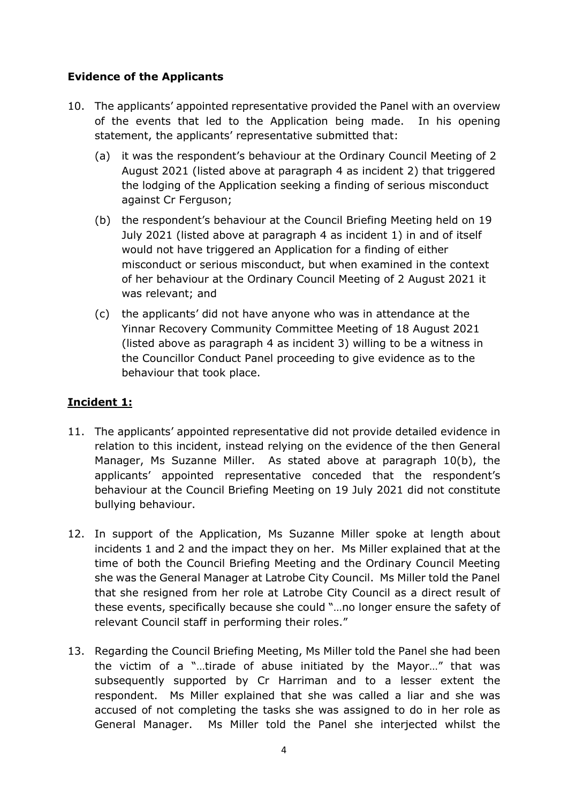## Evidence of the Applicants

- 10. The applicants' appointed representative provided the Panel with an overview of the events that led to the Application being made. In his opening statement, the applicants' representative submitted that:
	- (a) it was the respondent's behaviour at the Ordinary Council Meeting of 2 August 2021 (listed above at paragraph 4 as incident 2) that triggered the lodging of the Application seeking a finding of serious misconduct against Cr Ferguson;
	- (b) the respondent's behaviour at the Council Briefing Meeting held on 19 July 2021 (listed above at paragraph 4 as incident 1) in and of itself would not have triggered an Application for a finding of either misconduct or serious misconduct, but when examined in the context of her behaviour at the Ordinary Council Meeting of 2 August 2021 it was relevant; and
	- (c) the applicants' did not have anyone who was in attendance at the Yinnar Recovery Community Committee Meeting of 18 August 2021 (listed above as paragraph 4 as incident 3) willing to be a witness in the Councillor Conduct Panel proceeding to give evidence as to the behaviour that took place.

# Incident 1:

- 11. The applicants' appointed representative did not provide detailed evidence in relation to this incident, instead relying on the evidence of the then General Manager, Ms Suzanne Miller. As stated above at paragraph 10(b), the applicants' appointed representative conceded that the respondent's behaviour at the Council Briefing Meeting on 19 July 2021 did not constitute bullying behaviour.
- 12. In support of the Application, Ms Suzanne Miller spoke at length about incidents 1 and 2 and the impact they on her. Ms Miller explained that at the time of both the Council Briefing Meeting and the Ordinary Council Meeting she was the General Manager at Latrobe City Council. Ms Miller told the Panel that she resigned from her role at Latrobe City Council as a direct result of these events, specifically because she could "…no longer ensure the safety of relevant Council staff in performing their roles."
- 13. Regarding the Council Briefing Meeting, Ms Miller told the Panel she had been the victim of a "…tirade of abuse initiated by the Mayor…" that was subsequently supported by Cr Harriman and to a lesser extent the respondent. Ms Miller explained that she was called a liar and she was accused of not completing the tasks she was assigned to do in her role as General Manager. Ms Miller told the Panel she interjected whilst the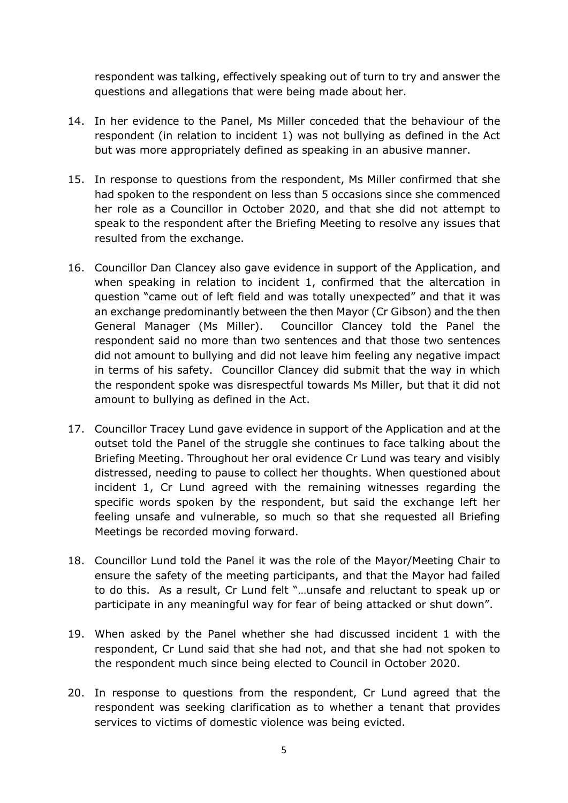respondent was talking, effectively speaking out of turn to try and answer the questions and allegations that were being made about her.

- 14. In her evidence to the Panel, Ms Miller conceded that the behaviour of the respondent (in relation to incident 1) was not bullying as defined in the Act but was more appropriately defined as speaking in an abusive manner.
- 15. In response to questions from the respondent, Ms Miller confirmed that she had spoken to the respondent on less than 5 occasions since she commenced her role as a Councillor in October 2020, and that she did not attempt to speak to the respondent after the Briefing Meeting to resolve any issues that resulted from the exchange.
- 16. Councillor Dan Clancey also gave evidence in support of the Application, and when speaking in relation to incident 1, confirmed that the altercation in question "came out of left field and was totally unexpected" and that it was an exchange predominantly between the then Mayor (Cr Gibson) and the then General Manager (Ms Miller). Councillor Clancey told the Panel the respondent said no more than two sentences and that those two sentences did not amount to bullying and did not leave him feeling any negative impact in terms of his safety. Councillor Clancey did submit that the way in which the respondent spoke was disrespectful towards Ms Miller, but that it did not amount to bullying as defined in the Act.
- 17. Councillor Tracey Lund gave evidence in support of the Application and at the outset told the Panel of the struggle she continues to face talking about the Briefing Meeting. Throughout her oral evidence Cr Lund was teary and visibly distressed, needing to pause to collect her thoughts. When questioned about incident 1, Cr Lund agreed with the remaining witnesses regarding the specific words spoken by the respondent, but said the exchange left her feeling unsafe and vulnerable, so much so that she requested all Briefing Meetings be recorded moving forward.
- 18. Councillor Lund told the Panel it was the role of the Mayor/Meeting Chair to ensure the safety of the meeting participants, and that the Mayor had failed to do this. As a result, Cr Lund felt "…unsafe and reluctant to speak up or participate in any meaningful way for fear of being attacked or shut down".
- 19. When asked by the Panel whether she had discussed incident 1 with the respondent, Cr Lund said that she had not, and that she had not spoken to the respondent much since being elected to Council in October 2020.
- 20. In response to questions from the respondent, Cr Lund agreed that the respondent was seeking clarification as to whether a tenant that provides services to victims of domestic violence was being evicted.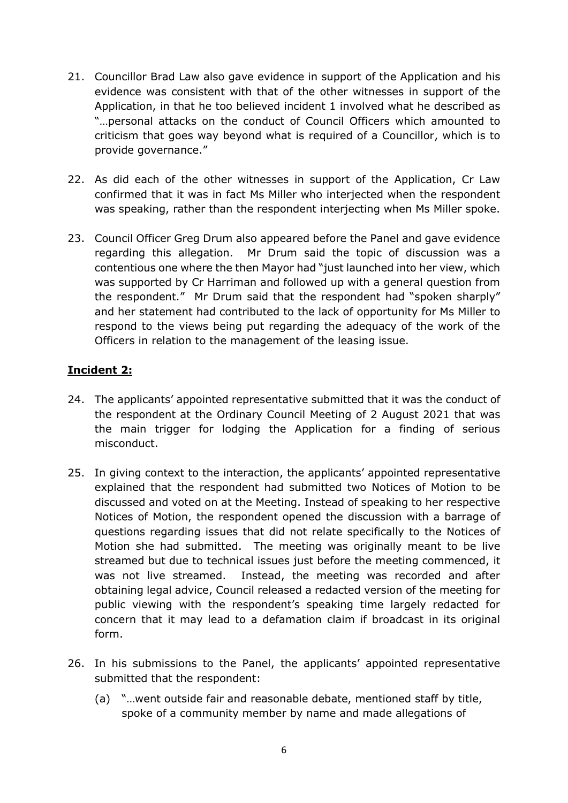- 21. Councillor Brad Law also gave evidence in support of the Application and his evidence was consistent with that of the other witnesses in support of the Application, in that he too believed incident 1 involved what he described as "…personal attacks on the conduct of Council Officers which amounted to criticism that goes way beyond what is required of a Councillor, which is to provide governance."
- 22. As did each of the other witnesses in support of the Application, Cr Law confirmed that it was in fact Ms Miller who interjected when the respondent was speaking, rather than the respondent interjecting when Ms Miller spoke.
- 23. Council Officer Greg Drum also appeared before the Panel and gave evidence regarding this allegation. Mr Drum said the topic of discussion was a contentious one where the then Mayor had "just launched into her view, which was supported by Cr Harriman and followed up with a general question from the respondent." Mr Drum said that the respondent had "spoken sharply" and her statement had contributed to the lack of opportunity for Ms Miller to respond to the views being put regarding the adequacy of the work of the Officers in relation to the management of the leasing issue.

# Incident 2:

- 24. The applicants' appointed representative submitted that it was the conduct of the respondent at the Ordinary Council Meeting of 2 August 2021 that was the main trigger for lodging the Application for a finding of serious misconduct.
- 25. In giving context to the interaction, the applicants' appointed representative explained that the respondent had submitted two Notices of Motion to be discussed and voted on at the Meeting. Instead of speaking to her respective Notices of Motion, the respondent opened the discussion with a barrage of questions regarding issues that did not relate specifically to the Notices of Motion she had submitted. The meeting was originally meant to be live streamed but due to technical issues just before the meeting commenced, it was not live streamed. Instead, the meeting was recorded and after obtaining legal advice, Council released a redacted version of the meeting for public viewing with the respondent's speaking time largely redacted for concern that it may lead to a defamation claim if broadcast in its original form.
- 26. In his submissions to the Panel, the applicants' appointed representative submitted that the respondent:
	- (a) "…went outside fair and reasonable debate, mentioned staff by title, spoke of a community member by name and made allegations of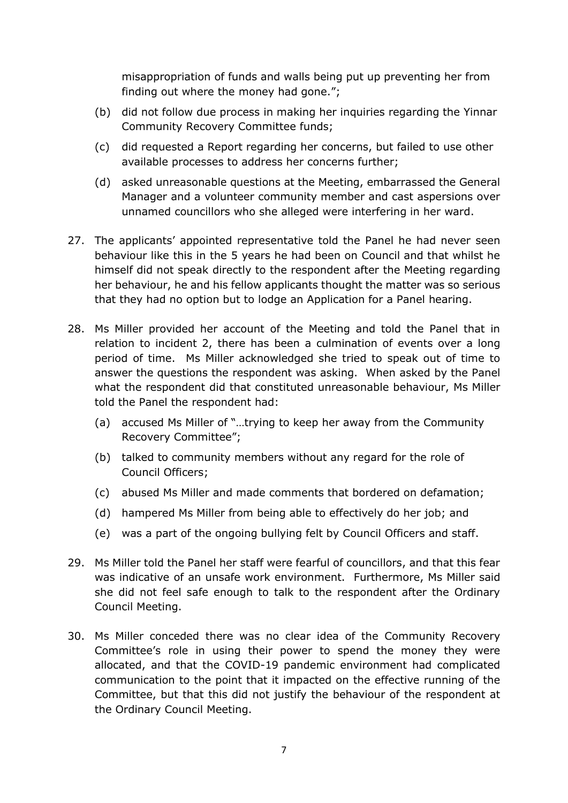misappropriation of funds and walls being put up preventing her from finding out where the money had gone.";

- (b) did not follow due process in making her inquiries regarding the Yinnar Community Recovery Committee funds;
- (c) did requested a Report regarding her concerns, but failed to use other available processes to address her concerns further;
- (d) asked unreasonable questions at the Meeting, embarrassed the General Manager and a volunteer community member and cast aspersions over unnamed councillors who she alleged were interfering in her ward.
- 27. The applicants' appointed representative told the Panel he had never seen behaviour like this in the 5 years he had been on Council and that whilst he himself did not speak directly to the respondent after the Meeting regarding her behaviour, he and his fellow applicants thought the matter was so serious that they had no option but to lodge an Application for a Panel hearing.
- 28. Ms Miller provided her account of the Meeting and told the Panel that in relation to incident 2, there has been a culmination of events over a long period of time. Ms Miller acknowledged she tried to speak out of time to answer the questions the respondent was asking. When asked by the Panel what the respondent did that constituted unreasonable behaviour, Ms Miller told the Panel the respondent had:
	- (a) accused Ms Miller of "…trying to keep her away from the Community Recovery Committee";
	- (b) talked to community members without any regard for the role of Council Officers;
	- (c) abused Ms Miller and made comments that bordered on defamation;
	- (d) hampered Ms Miller from being able to effectively do her job; and
	- (e) was a part of the ongoing bullying felt by Council Officers and staff.
- 29. Ms Miller told the Panel her staff were fearful of councillors, and that this fear was indicative of an unsafe work environment. Furthermore, Ms Miller said she did not feel safe enough to talk to the respondent after the Ordinary Council Meeting.
- 30. Ms Miller conceded there was no clear idea of the Community Recovery Committee's role in using their power to spend the money they were allocated, and that the COVID-19 pandemic environment had complicated communication to the point that it impacted on the effective running of the Committee, but that this did not justify the behaviour of the respondent at the Ordinary Council Meeting.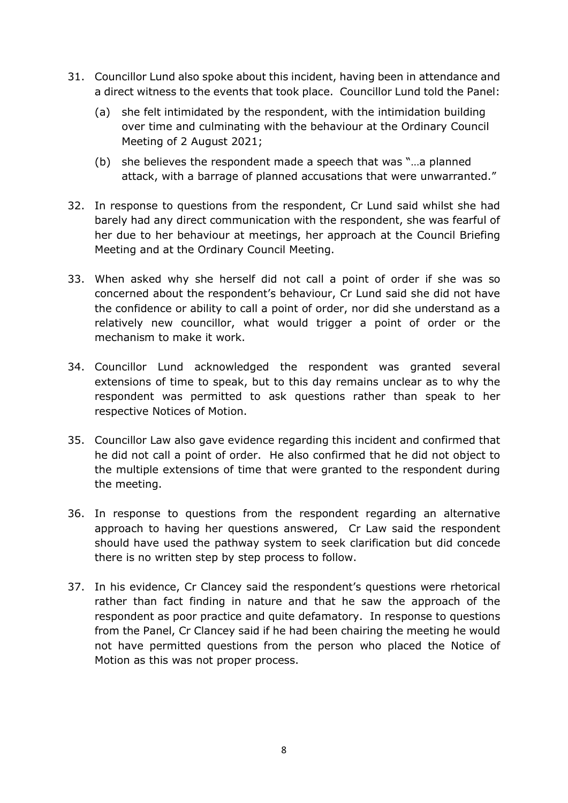- 31. Councillor Lund also spoke about this incident, having been in attendance and a direct witness to the events that took place. Councillor Lund told the Panel:
	- (a) she felt intimidated by the respondent, with the intimidation building over time and culminating with the behaviour at the Ordinary Council Meeting of 2 August 2021;
	- (b) she believes the respondent made a speech that was "…a planned attack, with a barrage of planned accusations that were unwarranted."
- 32. In response to questions from the respondent, Cr Lund said whilst she had barely had any direct communication with the respondent, she was fearful of her due to her behaviour at meetings, her approach at the Council Briefing Meeting and at the Ordinary Council Meeting.
- 33. When asked why she herself did not call a point of order if she was so concerned about the respondent's behaviour, Cr Lund said she did not have the confidence or ability to call a point of order, nor did she understand as a relatively new councillor, what would trigger a point of order or the mechanism to make it work.
- 34. Councillor Lund acknowledged the respondent was granted several extensions of time to speak, but to this day remains unclear as to why the respondent was permitted to ask questions rather than speak to her respective Notices of Motion.
- 35. Councillor Law also gave evidence regarding this incident and confirmed that he did not call a point of order. He also confirmed that he did not object to the multiple extensions of time that were granted to the respondent during the meeting.
- 36. In response to questions from the respondent regarding an alternative approach to having her questions answered, Cr Law said the respondent should have used the pathway system to seek clarification but did concede there is no written step by step process to follow.
- 37. In his evidence, Cr Clancey said the respondent's questions were rhetorical rather than fact finding in nature and that he saw the approach of the respondent as poor practice and quite defamatory. In response to questions from the Panel, Cr Clancey said if he had been chairing the meeting he would not have permitted questions from the person who placed the Notice of Motion as this was not proper process.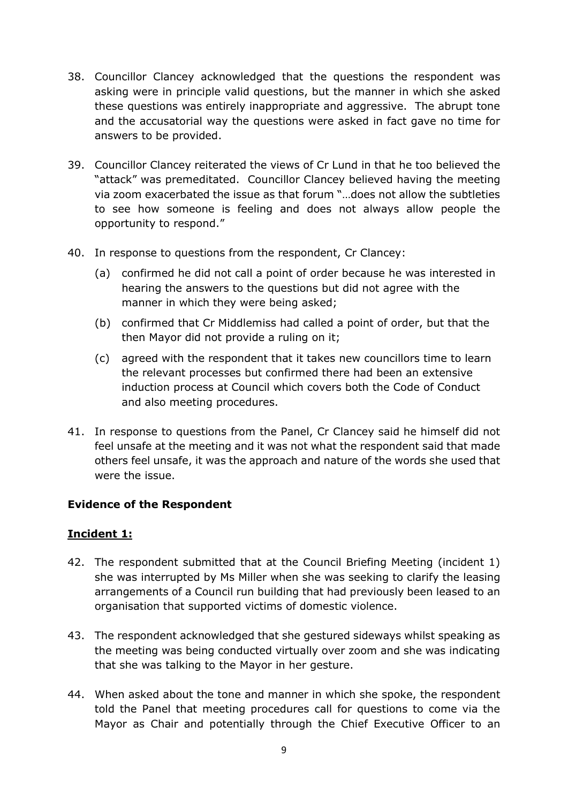- 38. Councillor Clancey acknowledged that the questions the respondent was asking were in principle valid questions, but the manner in which she asked these questions was entirely inappropriate and aggressive. The abrupt tone and the accusatorial way the questions were asked in fact gave no time for answers to be provided.
- 39. Councillor Clancey reiterated the views of Cr Lund in that he too believed the "attack" was premeditated. Councillor Clancey believed having the meeting via zoom exacerbated the issue as that forum "…does not allow the subtleties to see how someone is feeling and does not always allow people the opportunity to respond."
- 40. In response to questions from the respondent, Cr Clancey:
	- (a) confirmed he did not call a point of order because he was interested in hearing the answers to the questions but did not agree with the manner in which they were being asked;
	- (b) confirmed that Cr Middlemiss had called a point of order, but that the then Mayor did not provide a ruling on it;
	- (c) agreed with the respondent that it takes new councillors time to learn the relevant processes but confirmed there had been an extensive induction process at Council which covers both the Code of Conduct and also meeting procedures.
- 41. In response to questions from the Panel, Cr Clancey said he himself did not feel unsafe at the meeting and it was not what the respondent said that made others feel unsafe, it was the approach and nature of the words she used that were the issue.

## Evidence of the Respondent

## Incident 1:

- 42. The respondent submitted that at the Council Briefing Meeting (incident 1) she was interrupted by Ms Miller when she was seeking to clarify the leasing arrangements of a Council run building that had previously been leased to an organisation that supported victims of domestic violence.
- 43. The respondent acknowledged that she gestured sideways whilst speaking as the meeting was being conducted virtually over zoom and she was indicating that she was talking to the Mayor in her gesture.
- 44. When asked about the tone and manner in which she spoke, the respondent told the Panel that meeting procedures call for questions to come via the Mayor as Chair and potentially through the Chief Executive Officer to an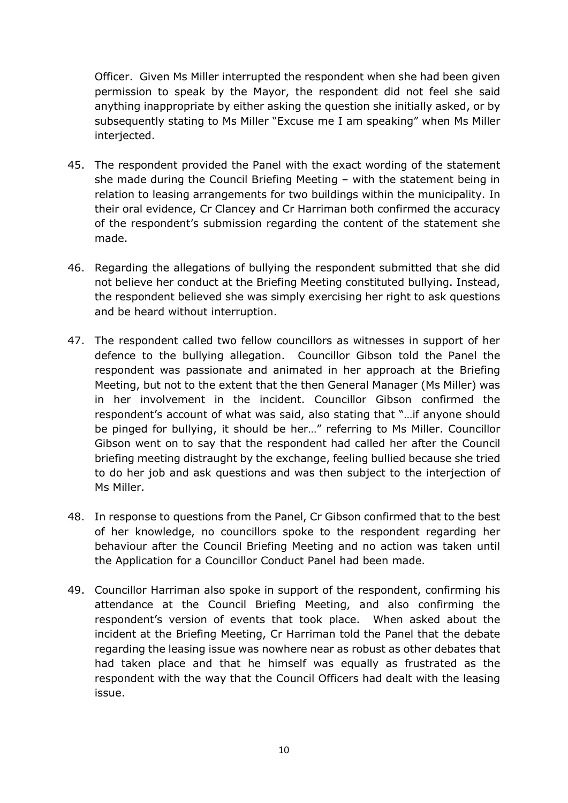Officer. Given Ms Miller interrupted the respondent when she had been given permission to speak by the Mayor, the respondent did not feel she said anything inappropriate by either asking the question she initially asked, or by subsequently stating to Ms Miller "Excuse me I am speaking" when Ms Miller interjected.

- 45. The respondent provided the Panel with the exact wording of the statement she made during the Council Briefing Meeting – with the statement being in relation to leasing arrangements for two buildings within the municipality. In their oral evidence, Cr Clancey and Cr Harriman both confirmed the accuracy of the respondent's submission regarding the content of the statement she made.
- 46. Regarding the allegations of bullying the respondent submitted that she did not believe her conduct at the Briefing Meeting constituted bullying. Instead, the respondent believed she was simply exercising her right to ask questions and be heard without interruption.
- 47. The respondent called two fellow councillors as witnesses in support of her defence to the bullying allegation. Councillor Gibson told the Panel the respondent was passionate and animated in her approach at the Briefing Meeting, but not to the extent that the then General Manager (Ms Miller) was in her involvement in the incident. Councillor Gibson confirmed the respondent's account of what was said, also stating that "…if anyone should be pinged for bullying, it should be her…" referring to Ms Miller. Councillor Gibson went on to say that the respondent had called her after the Council briefing meeting distraught by the exchange, feeling bullied because she tried to do her job and ask questions and was then subject to the interjection of Ms Miller.
- 48. In response to questions from the Panel, Cr Gibson confirmed that to the best of her knowledge, no councillors spoke to the respondent regarding her behaviour after the Council Briefing Meeting and no action was taken until the Application for a Councillor Conduct Panel had been made.
- 49. Councillor Harriman also spoke in support of the respondent, confirming his attendance at the Council Briefing Meeting, and also confirming the respondent's version of events that took place. When asked about the incident at the Briefing Meeting, Cr Harriman told the Panel that the debate regarding the leasing issue was nowhere near as robust as other debates that had taken place and that he himself was equally as frustrated as the respondent with the way that the Council Officers had dealt with the leasing issue.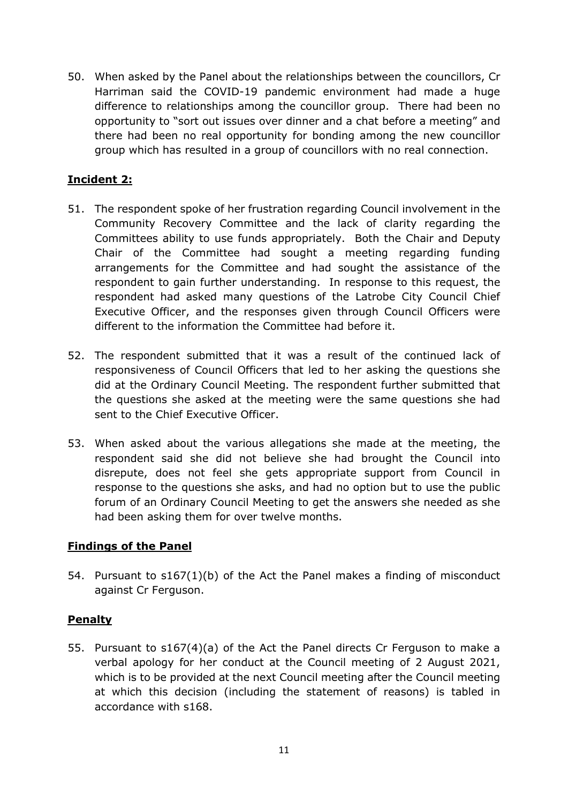50. When asked by the Panel about the relationships between the councillors, Cr Harriman said the COVID-19 pandemic environment had made a huge difference to relationships among the councillor group. There had been no opportunity to "sort out issues over dinner and a chat before a meeting" and there had been no real opportunity for bonding among the new councillor group which has resulted in a group of councillors with no real connection.

## Incident 2:

- 51. The respondent spoke of her frustration regarding Council involvement in the Community Recovery Committee and the lack of clarity regarding the Committees ability to use funds appropriately. Both the Chair and Deputy Chair of the Committee had sought a meeting regarding funding arrangements for the Committee and had sought the assistance of the respondent to gain further understanding. In response to this request, the respondent had asked many questions of the Latrobe City Council Chief Executive Officer, and the responses given through Council Officers were different to the information the Committee had before it.
- 52. The respondent submitted that it was a result of the continued lack of responsiveness of Council Officers that led to her asking the questions she did at the Ordinary Council Meeting. The respondent further submitted that the questions she asked at the meeting were the same questions she had sent to the Chief Executive Officer.
- 53. When asked about the various allegations she made at the meeting, the respondent said she did not believe she had brought the Council into disrepute, does not feel she gets appropriate support from Council in response to the questions she asks, and had no option but to use the public forum of an Ordinary Council Meeting to get the answers she needed as she had been asking them for over twelve months.

## Findings of the Panel

54. Pursuant to s167(1)(b) of the Act the Panel makes a finding of misconduct against Cr Ferguson.

#### Penalty

55. Pursuant to s167(4)(a) of the Act the Panel directs Cr Ferguson to make a verbal apology for her conduct at the Council meeting of 2 August 2021, which is to be provided at the next Council meeting after the Council meeting at which this decision (including the statement of reasons) is tabled in accordance with s168.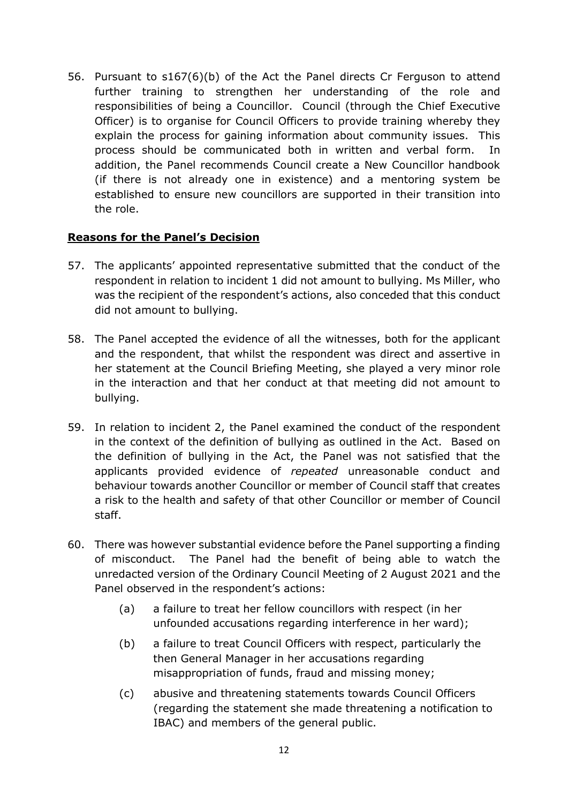56. Pursuant to s167(6)(b) of the Act the Panel directs Cr Ferguson to attend further training to strengthen her understanding of the role and responsibilities of being a Councillor. Council (through the Chief Executive Officer) is to organise for Council Officers to provide training whereby they explain the process for gaining information about community issues. This process should be communicated both in written and verbal form. In addition, the Panel recommends Council create a New Councillor handbook (if there is not already one in existence) and a mentoring system be established to ensure new councillors are supported in their transition into the role.

#### Reasons for the Panel's Decision

- 57. The applicants' appointed representative submitted that the conduct of the respondent in relation to incident 1 did not amount to bullying. Ms Miller, who was the recipient of the respondent's actions, also conceded that this conduct did not amount to bullying.
- 58. The Panel accepted the evidence of all the witnesses, both for the applicant and the respondent, that whilst the respondent was direct and assertive in her statement at the Council Briefing Meeting, she played a very minor role in the interaction and that her conduct at that meeting did not amount to bullying.
- 59. In relation to incident 2, the Panel examined the conduct of the respondent in the context of the definition of bullying as outlined in the Act. Based on the definition of bullying in the Act, the Panel was not satisfied that the applicants provided evidence of repeated unreasonable conduct and behaviour towards another Councillor or member of Council staff that creates a risk to the health and safety of that other Councillor or member of Council staff.
- 60. There was however substantial evidence before the Panel supporting a finding of misconduct. The Panel had the benefit of being able to watch the unredacted version of the Ordinary Council Meeting of 2 August 2021 and the Panel observed in the respondent's actions:
	- (a) a failure to treat her fellow councillors with respect (in her unfounded accusations regarding interference in her ward);
	- (b) a failure to treat Council Officers with respect, particularly the then General Manager in her accusations regarding misappropriation of funds, fraud and missing money;
	- (c) abusive and threatening statements towards Council Officers (regarding the statement she made threatening a notification to IBAC) and members of the general public.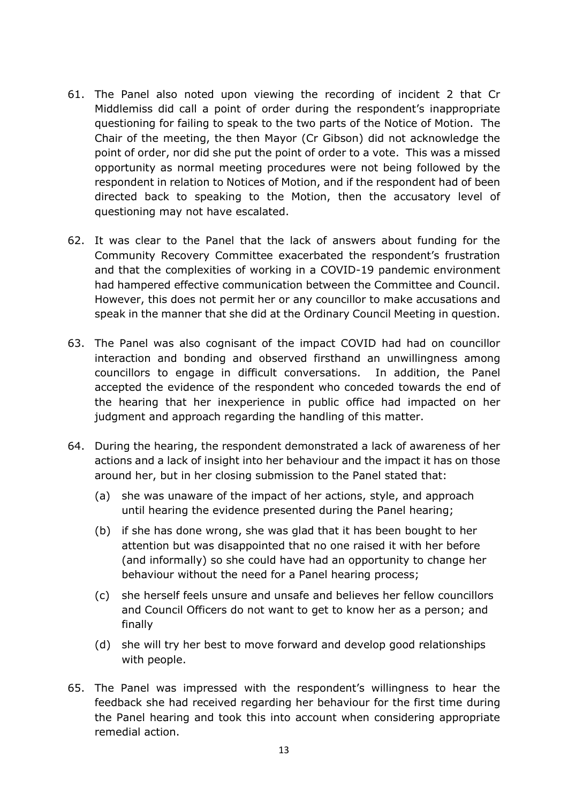- 61. The Panel also noted upon viewing the recording of incident 2 that Cr Middlemiss did call a point of order during the respondent's inappropriate questioning for failing to speak to the two parts of the Notice of Motion. The Chair of the meeting, the then Mayor (Cr Gibson) did not acknowledge the point of order, nor did she put the point of order to a vote. This was a missed opportunity as normal meeting procedures were not being followed by the respondent in relation to Notices of Motion, and if the respondent had of been directed back to speaking to the Motion, then the accusatory level of questioning may not have escalated.
- 62. It was clear to the Panel that the lack of answers about funding for the Community Recovery Committee exacerbated the respondent's frustration and that the complexities of working in a COVID-19 pandemic environment had hampered effective communication between the Committee and Council. However, this does not permit her or any councillor to make accusations and speak in the manner that she did at the Ordinary Council Meeting in question.
- 63. The Panel was also cognisant of the impact COVID had had on councillor interaction and bonding and observed firsthand an unwillingness among councillors to engage in difficult conversations. In addition, the Panel accepted the evidence of the respondent who conceded towards the end of the hearing that her inexperience in public office had impacted on her judgment and approach regarding the handling of this matter.
- 64. During the hearing, the respondent demonstrated a lack of awareness of her actions and a lack of insight into her behaviour and the impact it has on those around her, but in her closing submission to the Panel stated that:
	- (a) she was unaware of the impact of her actions, style, and approach until hearing the evidence presented during the Panel hearing;
	- (b) if she has done wrong, she was glad that it has been bought to her attention but was disappointed that no one raised it with her before (and informally) so she could have had an opportunity to change her behaviour without the need for a Panel hearing process;
	- (c) she herself feels unsure and unsafe and believes her fellow councillors and Council Officers do not want to get to know her as a person; and finally
	- (d) she will try her best to move forward and develop good relationships with people.
- 65. The Panel was impressed with the respondent's willingness to hear the feedback she had received regarding her behaviour for the first time during the Panel hearing and took this into account when considering appropriate remedial action.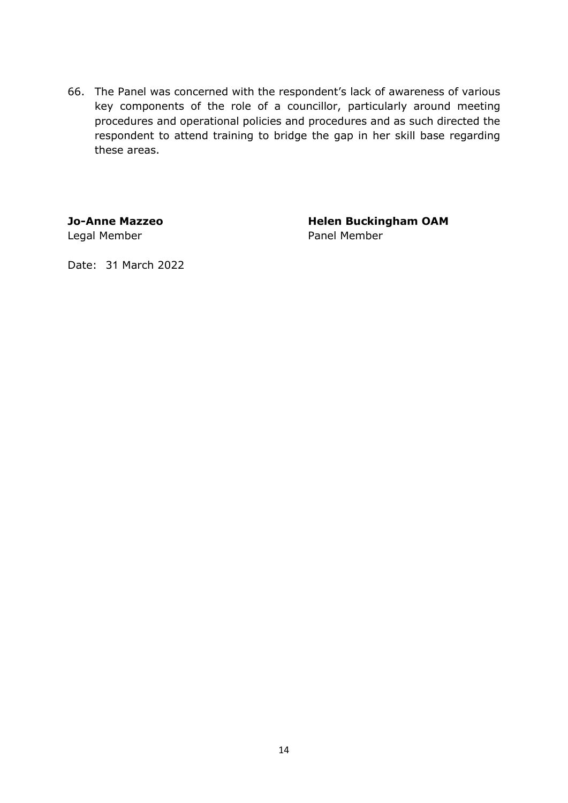66. The Panel was concerned with the respondent's lack of awareness of various key components of the role of a councillor, particularly around meeting procedures and operational policies and procedures and as such directed the respondent to attend training to bridge the gap in her skill base regarding these areas.

Legal Member **Panel Member** 

Jo-Anne Mazzeo Helen Buckingham OAM

Date: 31 March 2022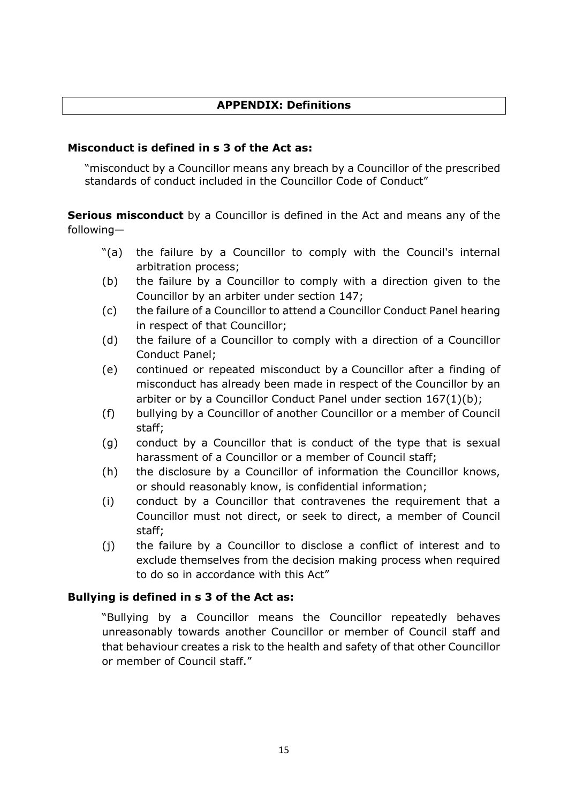#### APPENDIX: Definitions

#### Misconduct is defined in s 3 of the Act as:

"misconduct by a Councillor means any breach by a Councillor of the prescribed standards of conduct included in the Councillor Code of Conduct"

**Serious misconduct** by a Councillor is defined in the Act and means any of the following—

- "(a) the failure by a Councillor to comply with the Council's internal arbitration process;
- (b) the failure by a Councillor to comply with a direction given to the Councillor by an arbiter under section 147;
- (c) the failure of a Councillor to attend a Councillor Conduct Panel hearing in respect of that Councillor;
- (d) the failure of a Councillor to comply with a direction of a Councillor Conduct Panel;
- (e) continued or repeated misconduct by a Councillor after a finding of misconduct has already been made in respect of the Councillor by an arbiter or by a Councillor Conduct Panel under section 167(1)(b);
- (f) bullying by a Councillor of another Councillor or a member of Council staff;
- (g) conduct by a Councillor that is conduct of the type that is sexual harassment of a Councillor or a member of Council staff;
- (h) the disclosure by a Councillor of information the Councillor knows, or should reasonably know, is confidential information;
- (i) conduct by a Councillor that contravenes the requirement that a Councillor must not direct, or seek to direct, a member of Council staff;
- (j) the failure by a Councillor to disclose a conflict of interest and to exclude themselves from the decision making process when required to do so in accordance with this Act"

#### Bullying is defined in s 3 of the Act as:

"Bullying by a Councillor means the Councillor repeatedly behaves unreasonably towards another Councillor or member of Council staff and that behaviour creates a risk to the health and safety of that other Councillor or member of Council staff."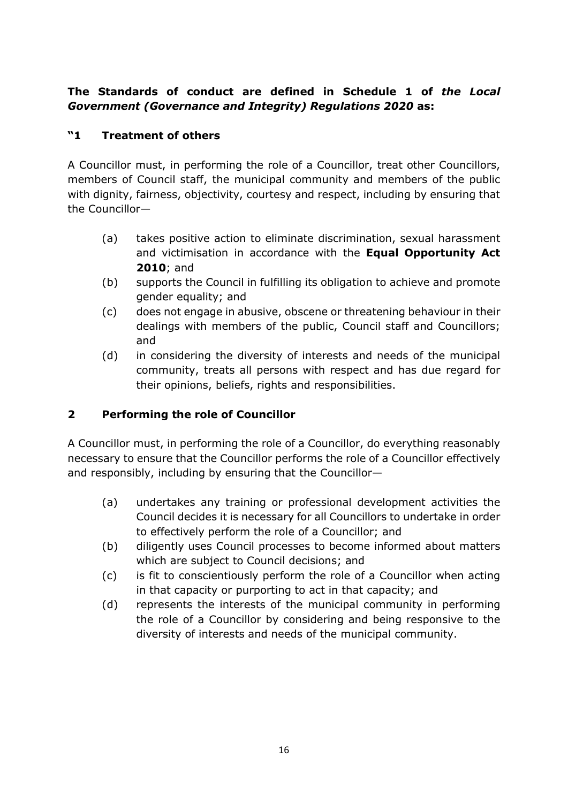# The Standards of conduct are defined in Schedule 1 of the Local Government (Governance and Integrity) Regulations 2020 as:

# "1 Treatment of others

A Councillor must, in performing the role of a Councillor, treat other Councillors, members of Council staff, the municipal community and members of the public with dignity, fairness, objectivity, courtesy and respect, including by ensuring that the Councillor—

- (a) takes positive action to eliminate discrimination, sexual harassment and victimisation in accordance with the Equal Opportunity Act 2010; and
- (b) supports the Council in fulfilling its obligation to achieve and promote gender equality; and
- (c) does not engage in abusive, obscene or threatening behaviour in their dealings with members of the public, Council staff and Councillors; and
- (d) in considering the diversity of interests and needs of the municipal community, treats all persons with respect and has due regard for their opinions, beliefs, rights and responsibilities.

# 2 Performing the role of Councillor

A Councillor must, in performing the role of a Councillor, do everything reasonably necessary to ensure that the Councillor performs the role of a Councillor effectively and responsibly, including by ensuring that the Councillor—

- (a) undertakes any training or professional development activities the Council decides it is necessary for all Councillors to undertake in order to effectively perform the role of a Councillor; and
- (b) diligently uses Council processes to become informed about matters which are subject to Council decisions; and
- (c) is fit to conscientiously perform the role of a Councillor when acting in that capacity or purporting to act in that capacity; and
- (d) represents the interests of the municipal community in performing the role of a Councillor by considering and being responsive to the diversity of interests and needs of the municipal community.